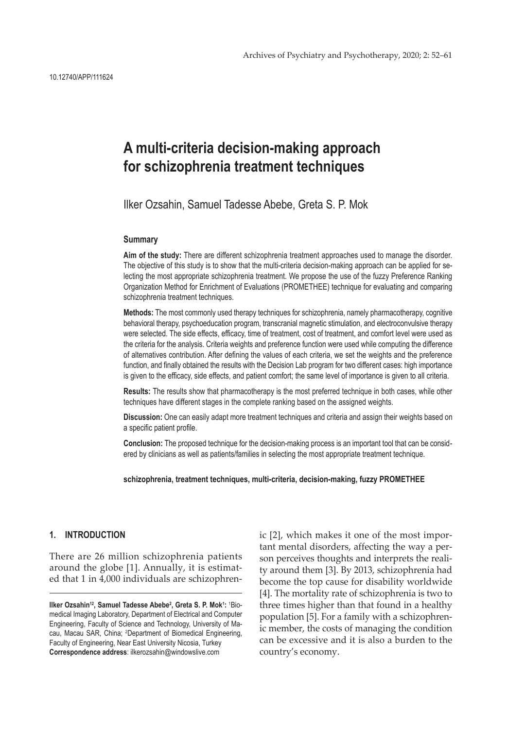# **A multi-criteria decision-making approach for schizophrenia treatment techniques**

Ilker Ozsahin, Samuel Tadesse Abebe, Greta S. P. Mok

## **Summary**

**Aim of the study:** There are different schizophrenia treatment approaches used to manage the disorder. The objective of this study is to show that the multi-criteria decision-making approach can be applied for selecting the most appropriate schizophrenia treatment. We propose the use of the fuzzy Preference Ranking Organization Method for Enrichment of Evaluations (PROMETHEE) technique for evaluating and comparing schizophrenia treatment techniques.

**Methods:** The most commonly used therapy techniques for schizophrenia, namely pharmacotherapy, cognitive behavioral therapy, psychoeducation program, transcranial magnetic stimulation, and electroconvulsive therapy were selected. The side effects, efficacy, time of treatment, cost of treatment, and comfort level were used as the criteria for the analysis. Criteria weights and preference function were used while computing the difference of alternatives contribution. After defining the values of each criteria, we set the weights and the preference function, and finally obtained the results with the Decision Lab program for two different cases: high importance is given to the efficacy, side effects, and patient comfort; the same level of importance is given to all criteria.

**Results:** The results show that pharmacotherapy is the most preferred technique in both cases, while other techniques have different stages in the complete ranking based on the assigned weights.

**Discussion:** One can easily adapt more treatment techniques and criteria and assign their weights based on a specific patient profile.

**Conclusion:** The proposed technique for the decision-making process is an important tool that can be considered by clinicians as well as patients/families in selecting the most appropriate treatment technique.

**schizophrenia, treatment techniques, multi-criteria, decision-making, fuzzy PROMETHEE**

#### **1. INTRODUCTION**

There are 26 million schizophrenia patients around the globe [1]. Annually, it is estimated that 1 in 4,000 individuals are schizophren-

**Ilker Ozsahin<sup>12</sup>, Samuel Tadesse Abebe<sup>2</sup> , Greta S. P. Mok<sup>1</sup> :** 1 Biomedical Imaging Laboratory, Department of Electrical and Computer Engineering, Faculty of Science and Technology, University of Macau, Macau SAR, China; <sup>2</sup>Department of Biomedical Engineering, Faculty of Engineering, Near East University Nicosia, Turkey **Correspondence address**: ilkerozsahin@windowslive.com

ic [2], which makes it one of the most important mental disorders, affecting the way a person perceives thoughts and interprets the reality around them [3]. By 2013, schizophrenia had become the top cause for disability worldwide [4]. The mortality rate of schizophrenia is two to three times higher than that found in a healthy population [5]. For a family with a schizophrenic member, the costs of managing the condition can be excessive and it is also a burden to the country's economy.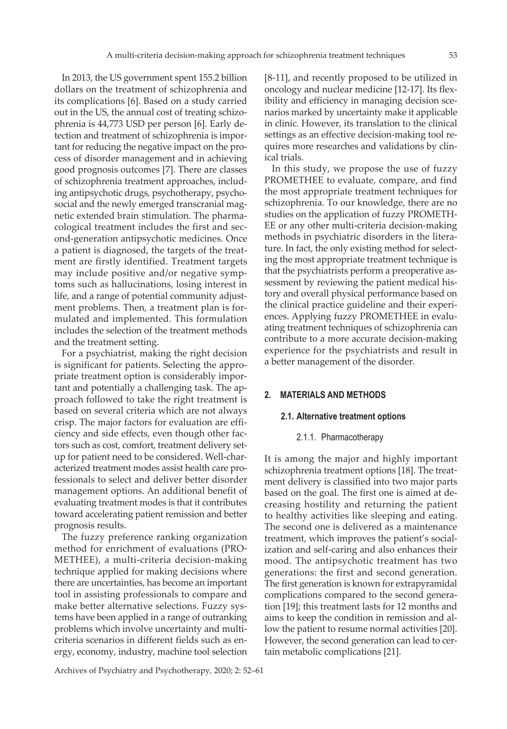In 2013, the US government spent 155.2 billion dollars on the treatment of schizophrenia and its complications [6]. Based on a study carried out in the US, the annual cost of treating schizophrenia is 44,773 USD per person [6]. Early detection and treatment of schizophrenia is important for reducing the negative impact on the process of disorder management and in achieving good prognosis outcomes [7]. There are classes of schizophrenia treatment approaches, including antipsychotic drugs, psychotherapy, psychosocial and the newly emerged transcranial magnetic extended brain stimulation. The pharmacological treatment includes the first and second-generation antipsychotic medicines. Once a patient is diagnosed, the targets of the treatment are firstly identified. Treatment targets may include positive and/or negative symptoms such as hallucinations, losing interest in life, and a range of potential community adjustment problems. Then, a treatment plan is formulated and implemented. This formulation includes the selection of the treatment methods and the treatment setting.

For a psychiatrist, making the right decision is significant for patients. Selecting the appropriate treatment option is considerably important and potentially a challenging task. The approach followed to take the right treatment is based on several criteria which are not always crisp. The major factors for evaluation are efficiency and side effects, even though other factors such as cost, comfort, treatment delivery setup for patient need to be considered. Well-characterized treatment modes assist health care professionals to select and deliver better disorder management options. An additional benefit of evaluating treatment modes is that it contributes toward accelerating patient remission and better prognosis results.

The fuzzy preference ranking organization method for enrichment of evaluations (PRO-METHEE), a multi-criteria decision-making technique applied for making decisions where there are uncertainties, has become an important tool in assisting professionals to compare and make better alternative selections. Fuzzy systems have been applied in a range of outranking problems which involve uncertainty and multicriteria scenarios in different fields such as energy, economy, industry, machine tool selection

[8-11], and recently proposed to be utilized in oncology and nuclear medicine [12-17]. Its flexibility and efficiency in managing decision scenarios marked by uncertainty make it applicable in clinic. However, its translation to the clinical settings as an effective decision-making tool requires more researches and validations by clinical trials.

In this study, we propose the use of fuzzy PROMETHEE to evaluate, compare, and find the most appropriate treatment techniques for schizophrenia. To our knowledge, there are no studies on the application of fuzzy PROMETH-EE or any other multi-criteria decision-making methods in psychiatric disorders in the literature. In fact, the only existing method for selecting the most appropriate treatment technique is that the psychiatrists perform a preoperative assessment by reviewing the patient medical history and overall physical performance based on the clinical practice guideline and their experiences. Applying fuzzy PROMETHEE in evaluating treatment techniques of schizophrenia can contribute to a more accurate decision-making experience for the psychiatrists and result in a better management of the disorder.

### **2. MATERIALS AND METHODS**

#### **2.1. Alternative treatment options**

#### 2.1.1. Pharmacotherapy

It is among the major and highly important schizophrenia treatment options [18]. The treatment delivery is classified into two major parts based on the goal. The first one is aimed at decreasing hostility and returning the patient to healthy activities like sleeping and eating. The second one is delivered as a maintenance treatment, which improves the patient's socialization and self-caring and also enhances their mood. The antipsychotic treatment has two generations: the first and second generation. The first generation is known for extrapyramidal complications compared to the second generation [19]; this treatment lasts for 12 months and aims to keep the condition in remission and allow the patient to resume normal activities [20]. However, the second generation can lead to certain metabolic complications [21].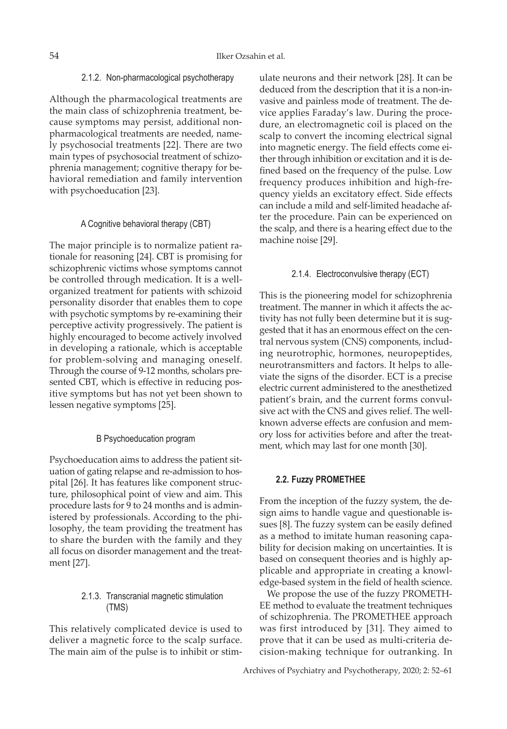#### 2.1.2. Non-pharmacological psychotherapy

Although the pharmacological treatments are the main class of schizophrenia treatment, because symptoms may persist, additional nonpharmacological treatments are needed, namely psychosocial treatments [22]. There are two main types of psychosocial treatment of schizophrenia management; cognitive therapy for behavioral remediation and family intervention with psychoeducation [23].

#### A Cognitive behavioral therapy (CBT)

The major principle is to normalize patient rationale for reasoning [24]. CBT is promising for schizophrenic victims whose symptoms cannot be controlled through medication. It is a wellorganized treatment for patients with schizoid personality disorder that enables them to cope with psychotic symptoms by re-examining their perceptive activity progressively. The patient is highly encouraged to become actively involved in developing a rationale, which is acceptable for problem-solving and managing oneself. Through the course of 9-12 months, scholars presented CBT, which is effective in reducing positive symptoms but has not yet been shown to lessen negative symptoms [25].

#### B Psychoeducation program

Psychoeducation aims to address the patient situation of gating relapse and re-admission to hospital [26]. It has features like component structure, philosophical point of view and aim. This procedure lasts for 9 to 24 months and is administered by professionals. According to the philosophy, the team providing the treatment has to share the burden with the family and they all focus on disorder management and the treatment [27].

# 2.1.3. Transcranial magnetic stimulation (TMS)

This relatively complicated device is used to deliver a magnetic force to the scalp surface. The main aim of the pulse is to inhibit or stimulate neurons and their network [28]. It can be deduced from the description that it is a non-invasive and painless mode of treatment. The device applies Faraday's law. During the procedure, an electromagnetic coil is placed on the scalp to convert the incoming electrical signal into magnetic energy. The field effects come either through inhibition or excitation and it is defined based on the frequency of the pulse. Low frequency produces inhibition and high-frequency yields an excitatory effect. Side effects can include a mild and self-limited headache after the procedure. Pain can be experienced on the scalp, and there is a hearing effect due to the machine noise [29].

#### 2.1.4. Electroconvulsive therapy (ECT)

This is the pioneering model for schizophrenia treatment. The manner in which it affects the activity has not fully been determine but it is suggested that it has an enormous effect on the central nervous system (CNS) components, including neurotrophic, hormones, neuropeptides, neurotransmitters and factors. It helps to alleviate the signs of the disorder. ECT is a precise electric current administered to the anesthetized patient's brain, and the current forms convulsive act with the CNS and gives relief. The wellknown adverse effects are confusion and memory loss for activities before and after the treatment, which may last for one month [30].

#### **2.2. Fuzzy PROMETHEE**

From the inception of the fuzzy system, the design aims to handle vague and questionable issues [8]. The fuzzy system can be easily defined as a method to imitate human reasoning capability for decision making on uncertainties. It is based on consequent theories and is highly applicable and appropriate in creating a knowledge-based system in the field of health science.

We propose the use of the fuzzy PROMETH-EE method to evaluate the treatment techniques of schizophrenia. The PROMETHEE approach was first introduced by [31]. They aimed to prove that it can be used as multi-criteria decision-making technique for outranking. In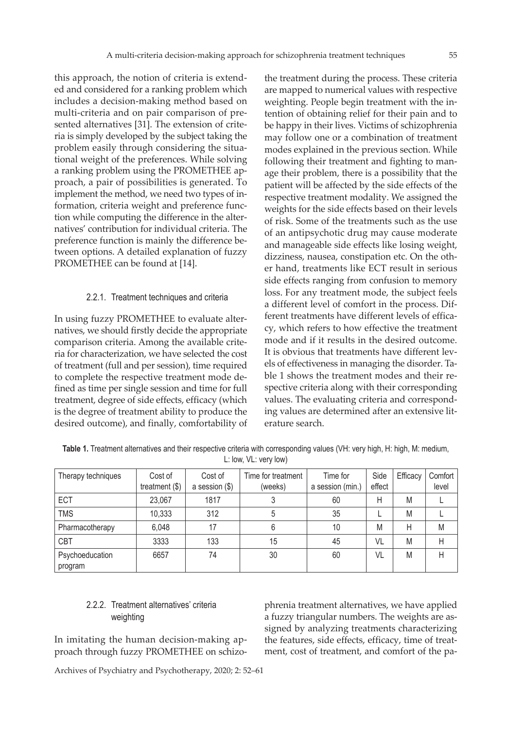this approach, the notion of criteria is extended and considered for a ranking problem which includes a decision-making method based on multi-criteria and on pair comparison of presented alternatives [31]. The extension of criteria is simply developed by the subject taking the problem easily through considering the situational weight of the preferences. While solving a ranking problem using the PROMETHEE approach, a pair of possibilities is generated. To implement the method, we need two types of information, criteria weight and preference function while computing the difference in the alternatives' contribution for individual criteria. The preference function is mainly the difference between options. A detailed explanation of fuzzy PROMETHEE can be found at [14].

#### 2.2.1. Treatment techniques and criteria

In using fuzzy PROMETHEE to evaluate alternatives, we should firstly decide the appropriate comparison criteria. Among the available criteria for characterization, we have selected the cost of treatment (full and per session), time required to complete the respective treatment mode defined as time per single session and time for full treatment, degree of side effects, efficacy (which is the degree of treatment ability to produce the desired outcome), and finally, comfortability of

the treatment during the process. These criteria are mapped to numerical values with respective weighting. People begin treatment with the intention of obtaining relief for their pain and to be happy in their lives. Victims of schizophrenia may follow one or a combination of treatment modes explained in the previous section. While following their treatment and fighting to manage their problem, there is a possibility that the patient will be affected by the side effects of the respective treatment modality. We assigned the weights for the side effects based on their levels of risk. Some of the treatments such as the use of an antipsychotic drug may cause moderate and manageable side effects like losing weight, dizziness, nausea, constipation etc. On the other hand, treatments like ECT result in serious side effects ranging from confusion to memory loss. For any treatment mode, the subject feels a different level of comfort in the process. Different treatments have different levels of efficacy, which refers to how effective the treatment mode and if it results in the desired outcome. It is obvious that treatments have different levels of effectiveness in managing the disorder. Table 1 shows the treatment modes and their respective criteria along with their corresponding values. The evaluating criteria and corresponding values are determined after an extensive literature search.

| Therapy techniques         | Cost of<br>treatment $(\$)$ | Cost of<br>a session $($ math) | Time for treatment<br>(weeks) | Time for<br>a session (min.) | Side<br>effect | Efficacy | Comfort<br>level |
|----------------------------|-----------------------------|--------------------------------|-------------------------------|------------------------------|----------------|----------|------------------|
| ECT                        | 23,067                      | 1817                           | 3                             | 60                           | Η              | M        |                  |
| <b>TMS</b>                 | 10,333                      | 312                            | 5                             | 35                           |                | M        |                  |
| Pharmacotherapy            | 6,048                       | 17                             | 6                             | 10                           | M              | Н        | M                |
| <b>CBT</b>                 | 3333                        | 133                            | 15                            | 45                           | VL             | M        | Н                |
| Psychoeducation<br>program | 6657                        | 74                             | 30                            | 60                           | VL             | M        | Н                |

**Table 1.** Treatment alternatives and their respective criteria with corresponding values (VH: very high, H: high, M: medium, L: low, VL: very low)

# 2.2.2. Treatment alternatives' criteria weighting

In imitating the human decision-making approach through fuzzy PROMETHEE on schizo-

phrenia treatment alternatives, we have applied a fuzzy triangular numbers. The weights are assigned by analyzing treatments characterizing the features, side effects, efficacy, time of treatment, cost of treatment, and comfort of the pa-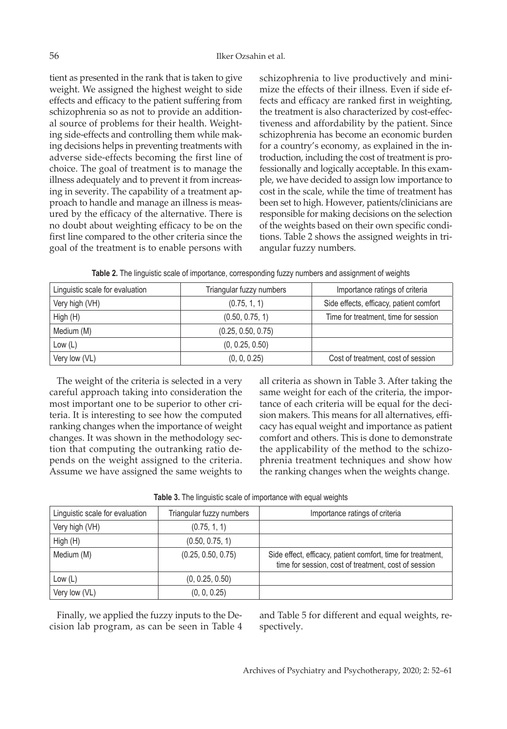tient as presented in the rank that is taken to give weight. We assigned the highest weight to side effects and efficacy to the patient suffering from schizophrenia so as not to provide an additional source of problems for their health. Weighting side-effects and controlling them while making decisions helps in preventing treatments with adverse side-effects becoming the first line of choice. The goal of treatment is to manage the illness adequately and to prevent it from increasing in severity. The capability of a treatment approach to handle and manage an illness is measured by the efficacy of the alternative. There is no doubt about weighting efficacy to be on the first line compared to the other criteria since the goal of the treatment is to enable persons with schizophrenia to live productively and minimize the effects of their illness. Even if side effects and efficacy are ranked first in weighting, the treatment is also characterized by cost-effectiveness and affordability by the patient. Since schizophrenia has become an economic burden for a country's economy, as explained in the introduction, including the cost of treatment is professionally and logically acceptable. In this example, we have decided to assign low importance to cost in the scale, while the time of treatment has been set to high. However, patients/clinicians are responsible for making decisions on the selection of the weights based on their own specific conditions. Table 2 shows the assigned weights in triangular fuzzy numbers.

**Table 2.** The linguistic scale of importance, corresponding fuzzy numbers and assignment of weights

| Linguistic scale for evaluation | Triangular fuzzy numbers | Importance ratings of criteria          |
|---------------------------------|--------------------------|-----------------------------------------|
| Very high (VH)                  | (0.75, 1, 1)             | Side effects, efficacy, patient comfort |
| High (H)                        | (0.50, 0.75, 1)          | Time for treatment, time for session    |
| Medium (M)                      | (0.25, 0.50, 0.75)       |                                         |
| Low $(L)$                       | (0, 0.25, 0.50)          |                                         |
| Very low (VL)                   | (0, 0, 0.25)             | Cost of treatment, cost of session      |

The weight of the criteria is selected in a very careful approach taking into consideration the most important one to be superior to other criteria. It is interesting to see how the computed ranking changes when the importance of weight changes. It was shown in the methodology section that computing the outranking ratio depends on the weight assigned to the criteria. Assume we have assigned the same weights to all criteria as shown in Table 3. After taking the same weight for each of the criteria, the importance of each criteria will be equal for the decision makers. This means for all alternatives, efficacy has equal weight and importance as patient comfort and others. This is done to demonstrate the applicability of the method to the schizophrenia treatment techniques and show how the ranking changes when the weights change.

| Linguistic scale for evaluation | Triangular fuzzy numbers | Importance ratings of criteria                                                                                      |
|---------------------------------|--------------------------|---------------------------------------------------------------------------------------------------------------------|
| Very high (VH)                  | (0.75, 1, 1)             |                                                                                                                     |
| High (H)                        | (0.50, 0.75, 1)          |                                                                                                                     |
| Medium (M)                      | (0.25, 0.50, 0.75)       | Side effect, efficacy, patient comfort, time for treatment,<br>time for session, cost of treatment, cost of session |
| Low $(L)$                       | (0, 0.25, 0.50)          |                                                                                                                     |
| Very low (VL)                   | (0, 0, 0.25)             |                                                                                                                     |

| Table 3. The linguistic scale of importance with equal weights |  |  |  |  |
|----------------------------------------------------------------|--|--|--|--|
|                                                                |  |  |  |  |

Finally, we applied the fuzzy inputs to the Decision lab program, as can be seen in Table 4

and Table 5 for different and equal weights, respectively.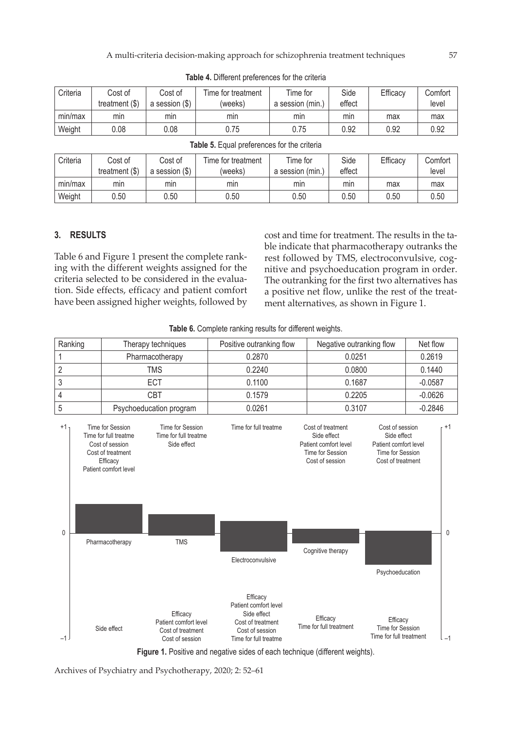| Criteria | Cost of<br>treatment $(\$)$ | Cost of<br>a session (\$) | Time for treatment<br>(weeks) | Time for<br>a session (min.) | Side<br>effect | Efficacy | Comfort<br>level |
|----------|-----------------------------|---------------------------|-------------------------------|------------------------------|----------------|----------|------------------|
| min/max  | mın                         | mın                       | mın                           | min                          | min            | max      | max              |
| Weight   | 0.08                        | 0.08                      | 0.75                          | 0.75                         | 0.92           | 0.92     | 0.92             |

**Table 4.** Different preferences for the criteria

| Criteria | Cost of<br>treatment $($)$ | Cost of<br>a session (\$) | Time for treatment<br>(weeks) | Time for<br>(min)<br>a session | Side<br>effect | Efficacy | Comfort<br>level |
|----------|----------------------------|---------------------------|-------------------------------|--------------------------------|----------------|----------|------------------|
| min/max  | mın                        | mın                       | mın                           | min                            | mın            | max      | max              |
| Weight   | 0.50                       | 0.50                      | 0.50                          | 0.50                           | 0.50           | 0.50     | 0.50             |

# **Table 5.** Equal preferences for the criteria

# **3. RESULTS**

Table 6 and Figure 1 present the complete ranking with the different weights assigned for the criteria selected to be considered in the evaluation. Side effects, efficacy and patient comfort have been assigned higher weights, followed by

cost and time for treatment. The results in the table indicate that pharmacotherapy outranks the rest followed by TMS, electroconvulsive, cognitive and psychoeducation program in order. The outranking for the first two alternatives has a positive net flow, unlike the rest of the treatment alternatives, as shown in Figure 1.

**Table 6.** Complete ranking results for different weights.

|                | Ranking |                                                                                                                                           | Therapy techniques                                                        | Positive outranking flow                                                                                                                                                                                                                                                                                                                                |                                                                                                                       | Negative outranking flow                                                                                            |           |           |  | Net flow |
|----------------|---------|-------------------------------------------------------------------------------------------------------------------------------------------|---------------------------------------------------------------------------|---------------------------------------------------------------------------------------------------------------------------------------------------------------------------------------------------------------------------------------------------------------------------------------------------------------------------------------------------------|-----------------------------------------------------------------------------------------------------------------------|---------------------------------------------------------------------------------------------------------------------|-----------|-----------|--|----------|
| 1              |         | Pharmacotherapy                                                                                                                           |                                                                           | 0.2870                                                                                                                                                                                                                                                                                                                                                  | 0.0251                                                                                                                |                                                                                                                     | 0.2619    |           |  |          |
| $\sqrt{2}$     |         |                                                                                                                                           | <b>TMS</b>                                                                | 0.2240                                                                                                                                                                                                                                                                                                                                                  |                                                                                                                       | 0.0800                                                                                                              |           | 0.1440    |  |          |
| 3              |         |                                                                                                                                           | ECT                                                                       | 0.1100                                                                                                                                                                                                                                                                                                                                                  | 0.1687                                                                                                                |                                                                                                                     | $-0.0587$ |           |  |          |
| $\overline{4}$ |         |                                                                                                                                           | CBT                                                                       | 0.1579                                                                                                                                                                                                                                                                                                                                                  | 0.2205                                                                                                                |                                                                                                                     | $-0.0626$ |           |  |          |
| 5              |         |                                                                                                                                           | Psychoeducation program                                                   | 0.0261                                                                                                                                                                                                                                                                                                                                                  | 0.3107                                                                                                                |                                                                                                                     | $-0.2846$ |           |  |          |
| $+11$<br>0     |         | Time for Session<br>Time for full treatme<br>Cost of session<br>Cost of treatment<br>Efficacy<br>Patient comfort level<br>Pharmacotherapy | Time for Session<br>Time for full treatme<br>Side effect<br><b>TMS</b>    | Time for full treatme<br>Electroconvulsive                                                                                                                                                                                                                                                                                                              | Cost of treatment<br>Side effect<br>Patient comfort level<br>Time for Session<br>Cost of session<br>Cognitive therapy | Cost of session<br>Side effect<br>Patient comfort level<br>Time for Session<br>Cost of treatment<br>Psychoeducation |           | $+1$<br>0 |  |          |
|                |         | Side effect                                                                                                                               | Efficacy<br>Patient comfort level<br>Cost of treatment<br>Cost of session | Efficacy<br>Patient comfort level<br>Side effect<br>Cost of treatment<br>Cost of session<br>Time for full treatme<br>$\mathcal{A}$ . The contract of the contract of the contract of the contract of the contract of the contract of the contract of the contract of the contract of the contract of the contract of the contract of the contract of th | Efficacy<br>Time for full treatment                                                                                   | Efficacy<br><b>Time for Session</b><br>Time for full treatment                                                      |           | $-1$      |  |          |

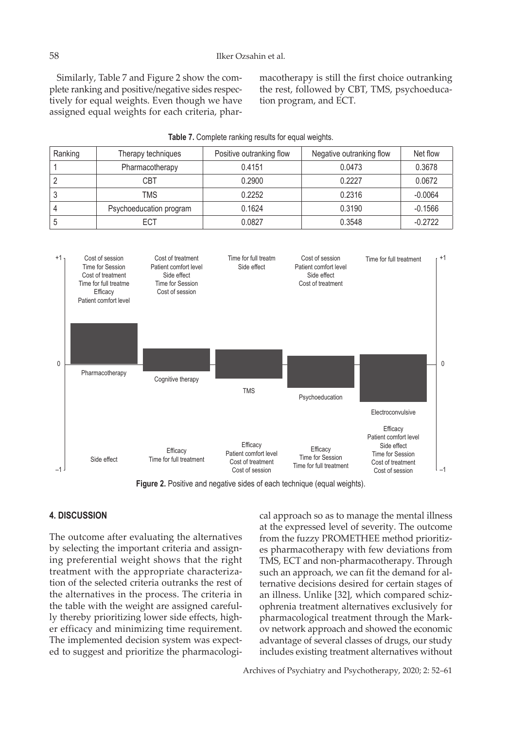Similarly, Table 7 and Figure 2 show the complete ranking and positive/negative sides respectively for equal weights. Even though we have assigned equal weights for each criteria, pharmacotherapy is still the first choice outranking the rest, followed by CBT, TMS, psychoeducation program, and ECT.

| Ranking | Therapy techniques      | Positive outranking flow | Negative outranking flow | Net flow  |
|---------|-------------------------|--------------------------|--------------------------|-----------|
|         | Pharmacotherapy         | 0.4151                   | 0.0473                   | 0.3678    |
|         | CBT                     | 0.2900                   | 0.2227                   | 0.0672    |
|         | TMS                     | 0.2252                   | 0.2316                   | $-0.0064$ |
|         | Psychoeducation program | 0.1624                   | 0.3190                   | $-0.1566$ |
|         | ECT                     | 0.0827                   | 0.3548                   | $-0.2722$ |





**Figure 2.** Positive and negative sides of each technique (equal weights).

## **4. DISCUSSION**

The outcome after evaluating the alternatives by selecting the important criteria and assigning preferential weight shows that the right treatment with the appropriate characterization of the selected criteria outranks the rest of the alternatives in the process. The criteria in the table with the weight are assigned carefully thereby prioritizing lower side effects, higher efficacy and minimizing time requirement. The implemented decision system was expected to suggest and prioritize the pharmacological approach so as to manage the mental illness at the expressed level of severity. The outcome from the fuzzy PROMETHEE method prioritizes pharmacotherapy with few deviations from TMS, ECT and non-pharmacotherapy. Through such an approach, we can fit the demand for alternative decisions desired for certain stages of an illness. Unlike [32], which compared schizophrenia treatment alternatives exclusively for pharmacological treatment through the Markov network approach and showed the economic advantage of several classes of drugs, our study includes existing treatment alternatives without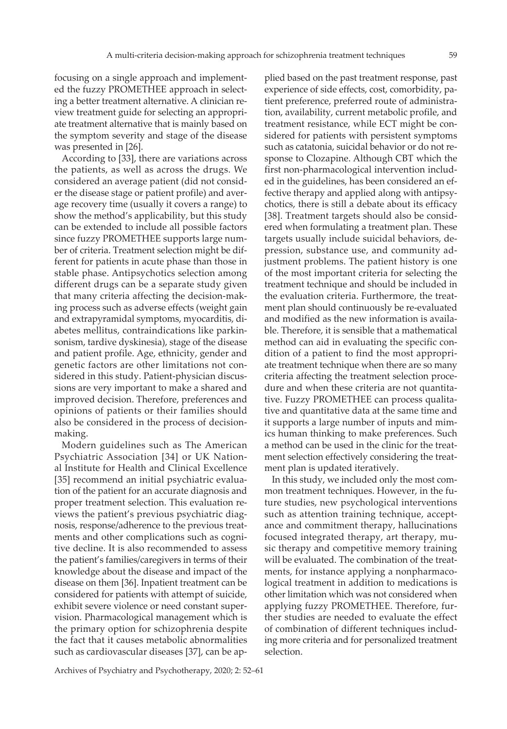focusing on a single approach and implemented the fuzzy PROMETHEE approach in selecting a better treatment alternative. A clinician review treatment guide for selecting an appropriate treatment alternative that is mainly based on the symptom severity and stage of the disease was presented in [26].

According to [33], there are variations across the patients, as well as across the drugs. We considered an average patient (did not consider the disease stage or patient profile) and average recovery time (usually it covers a range) to show the method's applicability, but this study can be extended to include all possible factors since fuzzy PROMETHEE supports large number of criteria. Treatment selection might be different for patients in acute phase than those in stable phase. Antipsychotics selection among different drugs can be a separate study given that many criteria affecting the decision-making process such as adverse effects (weight gain and extrapyramidal symptoms, myocarditis, diabetes mellitus, contraindications like parkinsonism, tardive dyskinesia), stage of the disease and patient profile. Age, ethnicity, gender and genetic factors are other limitations not considered in this study. Patient-physician discussions are very important to make a shared and improved decision. Therefore, preferences and opinions of patients or their families should also be considered in the process of decisionmaking.

Modern guidelines such as The American Psychiatric Association [34] or UK National Institute for Health and Clinical Excellence [35] recommend an initial psychiatric evaluation of the patient for an accurate diagnosis and proper treatment selection. This evaluation reviews the patient's previous psychiatric diagnosis, response/adherence to the previous treatments and other complications such as cognitive decline. It is also recommended to assess the patient's families/caregivers in terms of their knowledge about the disease and impact of the disease on them [36]. Inpatient treatment can be considered for patients with attempt of suicide, exhibit severe violence or need constant supervision. Pharmacological management which is the primary option for schizophrenia despite the fact that it causes metabolic abnormalities such as cardiovascular diseases [37], can be ap-

plied based on the past treatment response, past experience of side effects, cost, comorbidity, patient preference, preferred route of administration, availability, current metabolic profile, and treatment resistance, while ECT might be considered for patients with persistent symptoms such as catatonia, suicidal behavior or do not response to Clozapine. Although CBT which the first non-pharmacological intervention included in the guidelines, has been considered an effective therapy and applied along with antipsychotics, there is still a debate about its efficacy [38]. Treatment targets should also be considered when formulating a treatment plan. These targets usually include suicidal behaviors, depression, substance use, and community adjustment problems. The patient history is one of the most important criteria for selecting the treatment technique and should be included in the evaluation criteria. Furthermore, the treatment plan should continuously be re-evaluated and modified as the new information is available. Therefore, it is sensible that a mathematical method can aid in evaluating the specific condition of a patient to find the most appropriate treatment technique when there are so many criteria affecting the treatment selection procedure and when these criteria are not quantitative. Fuzzy PROMETHEE can process qualitative and quantitative data at the same time and it supports a large number of inputs and mimics human thinking to make preferences. Such a method can be used in the clinic for the treatment selection effectively considering the treatment plan is updated iteratively.

In this study, we included only the most common treatment techniques. However, in the future studies, new psychological interventions such as attention training technique, acceptance and commitment therapy, hallucinations focused integrated therapy, art therapy, music therapy and competitive memory training will be evaluated. The combination of the treatments, for instance applying a nonpharmacological treatment in addition to medications is other limitation which was not considered when applying fuzzy PROMETHEE. Therefore, further studies are needed to evaluate the effect of combination of different techniques including more criteria and for personalized treatment selection.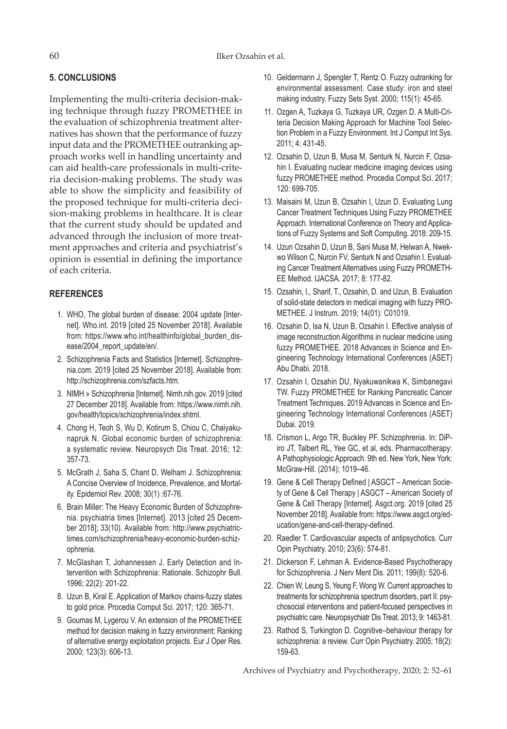# **5. CONCLUSIONS**

Implementing the multi-criteria decision-making technique through fuzzy PROMETHEE in the evaluation of schizophrenia treatment alternatives has shown that the performance of fuzzy input data and the PROMETHEE outranking approach works well in handling uncertainty and can aid health-care professionals in multi-criteria decision-making problems. The study was able to show the simplicity and feasibility of the proposed technique for multi-criteria decision-making problems in healthcare. It is clear that the current study should be updated and advanced through the inclusion of more treatment approaches and criteria and psychiatrist's opinion is essential in defining the importance of each criteria.

# **REFERENCES**

- 1. WHO, The global burden of disease: 2004 update [Internet]. Who.int. 2019 [cited 25 November 2018]. Available from: https://www.who.int/healthinfo/global\_burden\_disease/2004\_report\_update/en/.
- 2. Schizophrenia Facts and Statistics [Internet]. Schizophrenia.com. 2019 [cited 25 November 2018]. Available from: http://schizophrenia.com/szfacts.htm.
- 3. NIMH » Schizophrenia [Internet]. Nimh.nih.gov. 2019 [cited 27 December 2018]. Available from: https://www.nimh.nih. gov/health/topics/schizophrenia/index.shtml.
- 4. Chong H, Teoh S, Wu D, Kotirum S, Chiou C, Chaiyakunapruk N. Global economic burden of schizophrenia: a systematic review. Neuropsych Dis Treat. 2016; 12: 357-73.
- 5. McGrath J, Saha S, Chant D, Welham J. Schizophrenia: A Concise Overview of Incidence, Prevalence, and Mortality. Epidemiol Rev. 2008; 30(1) :67-76.
- 6. Brain Miller: The Heavy Economic Burden of Schizophrenia. psychiatria times [Internet]. 2013 [cited 25 December 2018]; 33(10). Available from: http://www.psychiatrictimes.com/schizophrenia/heavy-economic-burden-schizophrenia.
- 7. McGlashan T, Johannessen J. Early Detection and Intervention with Schizophrenia: Rationale. Schizophr Bull. 1996; 22(2): 201-22.
- 8. Uzun B, Kiral E. Application of Markov chains-fuzzy states to gold price. Procedia Comput Sci. 2017; 120: 365-71.
- 9. Goumas M, Lygerou V. An extension of the PROMETHEE method for decision making in fuzzy environment: Ranking of alternative energy exploitation projects. Eur J Oper Res. 2000; 123(3): 606-13.
- 10. Geldermann J, Spengler T, Rentz O. Fuzzy outranking for environmental assessment. Case study: iron and steel making industry. Fuzzy Sets Syst. 2000; 115(1): 45-65.
- 11. Ozgen A, Tuzkaya G, Tuzkaya UR, Ozgen D. A Multi-Criteria Decision Making Approach for Machine Tool Selection Problem in a Fuzzy Environment. Int J Comput Int Sys. 2011; 4: 431-45.
- 12. Ozsahin D, Uzun B, Musa M, Senturk N, Nurcin F, Ozsahin I. Evaluating nuclear medicine imaging devices using fuzzy PROMETHEE method. Procedia Comput Sci. 2017; 120: 699-705.
- 13. Maisaini M, Uzun B, Ozsahin I, Uzun D. Evaluating Lung Cancer Treatment Techniques Using Fuzzy PROMETHEE Approach. International Conference on Theory and Applications of Fuzzy Systems and Soft Computing. 2018: 209-15.
- 14. Uzun Ozsahin D, Uzun B, Sani Musa M, Helwan A, Nwekwo Wilson C, Nurcin FV, Senturk N and Ozsahin I. Evaluating Cancer Treatment Alternatives using Fuzzy PROMETH-EE Method. IJACSA. 2017; 8: 177-82.
- 15. Ozsahin, I., Sharif, T., Ozsahin, D. and Uzun, B. Evaluation of solid-state detectors in medical imaging with fuzzy PRO-METHEE. J Instrum. 2019; 14(01): C01019.
- 16. Ozsahin D, Isa N, Uzun B, Ozsahin I. Effective analysis of image reconstruction Algorithms in nuclear medicine using fuzzy PROMETHEE. 2018 Advances in Science and Engineering Technology International Conferences (ASET) Abu Dhabi. 2018.
- 17. Ozsahin I, Ozsahin DU, Nyakuwanikwa K, Simbanegavi TW. Fuzzy PROMETHEE for Ranking Pancreatic Cancer Treatment Techniques. 2019 Advances in Science and Engineering Technology International Conferences (ASET) Dubai. 2019.
- 18. Crismon L, Argo TR, Buckley PF. Schizophrenia. In: DiPiro JT, Talbert RL, Yee GC, et al, eds. Pharmacotherapy: A Pathophysiologic Approach. 9th ed. New York, New York: McGraw-Hill. (2014); 1019–46.
- 19. Gene & Cell Therapy Defined | ASGCT American Society of Gene & Cell Therapy | ASGCT – American Society of Gene & Cell Therapy [Internet]. Asgct.org. 2019 [cited 25 November 2018]. Available from: https://www.asgct.org/education/gene-and-cell-therapy-defined.
- 20. Raedler T. Cardiovascular aspects of antipsychotics. Curr Opin Psychiatry. 2010; 23(6): 574-81.
- 21. Dickerson F, Lehman A. Evidence-Based Psychotherapy for Schizophrenia. J Nerv Ment Dis. 2011; 199(8): 520-6.
- 22. Chien W, Leung S, Yeung F, Wong W. Current approaches to treatments for schizophrenia spectrum disorders, part II: psychosocial interventions and patient-focused perspectives in psychiatric care. Neuropsychiatr Dis Treat. 2013; 9: 1463-81.
- 23. Rathod S, Turkington D. Cognitive–behaviour therapy for schizophrenia: a review. Curr Opin Psychiatry. 2005; 18(2): 159-63.